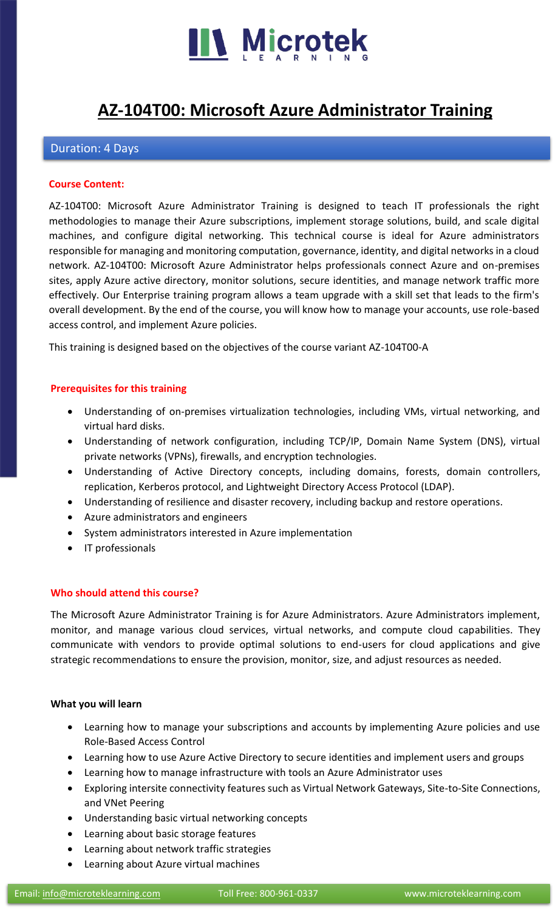

# **[AZ-104T00: Microsoft Azure Administrator Training](https://www.microteklearning.com/az-104t00-microsoft-azure-administrator-training/)**

# Duration: 4 Days

#### **Course Content:**

AZ-104T00: Microsoft Azure Administrator Training is designed to teach IT professionals the right methodologies to manage their Azure subscriptions, implement storage solutions, build, and scale digital machines, and configure digital networking. This technical course is ideal for Azure administrators responsible for managing and monitoring computation, governance, identity, and digital networks in a cloud network. AZ-104T00: Microsoft Azure Administrator helps professionals connect Azure and on-premises sites, apply Azure active directory, monitor solutions, secure identities, and manage network traffic more effectively. Our Enterprise training program allows a team upgrade with a skill set that leads to the firm's overall development. By the end of the course, you will know how to manage your accounts, use role-based access control, and implement Azure policies.

This training is designed based on the objectives of the course variant AZ-104T00-A

### **Prerequisites for this training**

- Understanding of on-premises virtualization technologies, including VMs, virtual networking, and virtual hard disks.
- Understanding of network configuration, including TCP/IP, Domain Name System (DNS), virtual private networks (VPNs), firewalls, and encryption technologies.
- Understanding of Active Directory concepts, including domains, forests, domain controllers, replication, Kerberos protocol, and Lightweight Directory Access Protocol (LDAP).
- Understanding of resilience and disaster recovery, including backup and restore operations.
- Azure administrators and engineers
- System administrators interested in Azure implementation
- IT professionals

### **Who should attend this course?**

The Microsoft Azure Administrator Training is for Azure Administrators. Azure Administrators implement, monitor, and manage various cloud services, virtual networks, and compute cloud capabilities. They communicate with vendors to provide optimal solutions to end-users for cloud applications and give strategic recommendations to ensure the provision, monitor, size, and adjust resources as needed.

### **What you will learn**

- Learning how to manage your subscriptions and accounts by implementing Azure policies and use Role-Based Access Control
- Learning how to use Azure Active Directory to secure identities and implement users and groups
- Learning how to manage infrastructure with tools an Azure Administrator uses
- Exploring intersite connectivity features such as Virtual Network Gateways, Site-to-Site Connections, and VNet Peering
- Understanding basic virtual networking concepts
- Learning about basic storage features
- Learning about network traffic strategies
- Learning about Azure virtual machines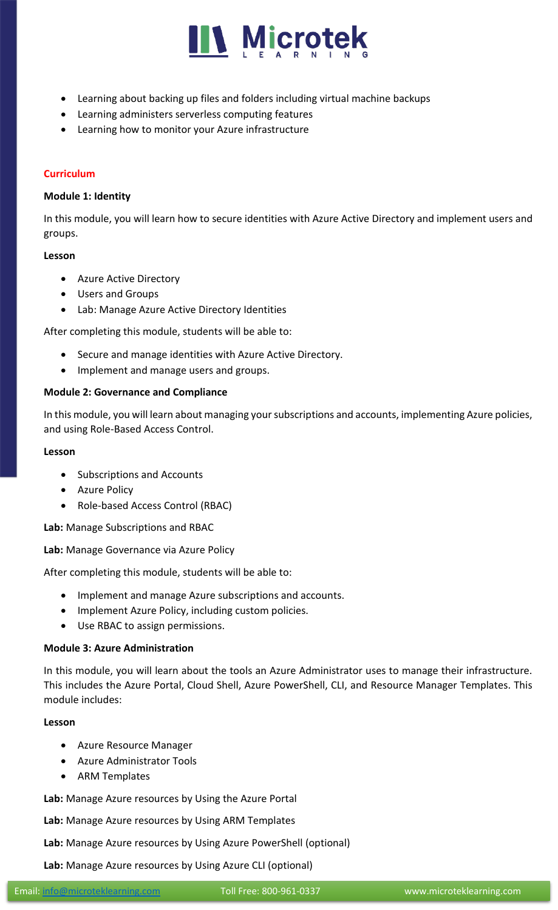

- Learning about backing up files and folders including virtual machine backups
- Learning administers serverless computing features
- Learning how to monitor your Azure infrastructure

## **Curriculum**

## **Module 1: Identity**

In this module, you will learn how to secure identities with Azure Active Directory and implement users and groups.

### **Lesson**

- Azure Active Directory
- Users and Groups
- Lab: Manage Azure Active Directory Identities

After completing this module, students will be able to:

- Secure and manage identities with Azure Active Directory.
- Implement and manage users and groups.

## **Module 2: Governance and Compliance**

In this module, you will learn about managing your subscriptions and accounts, implementing Azure policies, and using Role-Based Access Control.

## **Lesson**

- Subscriptions and Accounts
- Azure Policy
- Role-based Access Control (RBAC)

**Lab:** Manage Subscriptions and RBAC

**Lab:** Manage Governance via Azure Policy

After completing this module, students will be able to:

- Implement and manage Azure subscriptions and accounts.
- Implement Azure Policy, including custom policies.
- Use RBAC to assign permissions.

# **Module 3: Azure Administration**

In this module, you will learn about the tools an Azure Administrator uses to manage their infrastructure. This includes the Azure Portal, Cloud Shell, Azure PowerShell, CLI, and Resource Manager Templates. This module includes:

# **Lesson**

- Azure Resource Manager
- Azure Administrator Tools
- ARM Templates

**Lab:** Manage Azure resources by Using the Azure Portal

**Lab:** Manage Azure resources by Using ARM Templates

**Lab:** Manage Azure resources by Using Azure PowerShell (optional)

**Lab:** Manage Azure resources by Using Azure CLI (optional)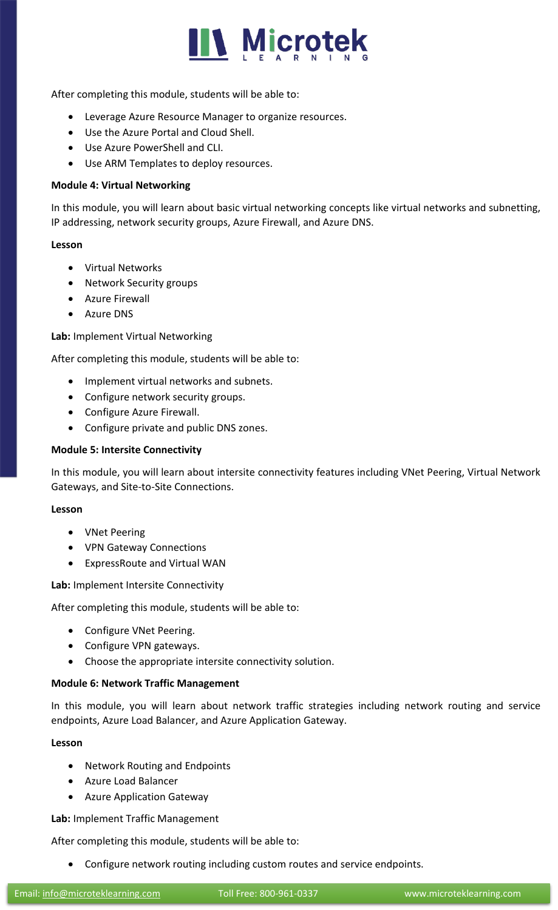

After completing this module, students will be able to:

- Leverage Azure Resource Manager to organize resources.
- Use the Azure Portal and Cloud Shell.
- Use Azure PowerShell and CLI.
- Use ARM Templates to deploy resources.

### **Module 4: Virtual Networking**

In this module, you will learn about basic virtual networking concepts like virtual networks and subnetting, IP addressing, network security groups, Azure Firewall, and Azure DNS.

### **Lesson**

- Virtual Networks
- Network Security groups
- Azure Firewall
- Azure DNS

**Lab:** Implement Virtual Networking

After completing this module, students will be able to:

- Implement virtual networks and subnets.
- Configure network security groups.
- Configure Azure Firewall.
- Configure private and public DNS zones.

### **Module 5: Intersite Connectivity**

In this module, you will learn about intersite connectivity features including VNet Peering, Virtual Network Gateways, and Site-to-Site Connections.

### **Lesson**

- VNet Peering
- VPN Gateway Connections
- ExpressRoute and Virtual WAN

**Lab:** Implement Intersite Connectivity

After completing this module, students will be able to:

- Configure VNet Peering.
- Configure VPN gateways.
- Choose the appropriate intersite connectivity solution.

### **Module 6: Network Traffic Management**

In this module, you will learn about network traffic strategies including network routing and service endpoints, Azure Load Balancer, and Azure Application Gateway.

### **Lesson**

- Network Routing and Endpoints
- Azure Load Balancer
- Azure Application Gateway

**Lab:** Implement Traffic Management

After completing this module, students will be able to:

• Configure network routing including custom routes and service endpoints.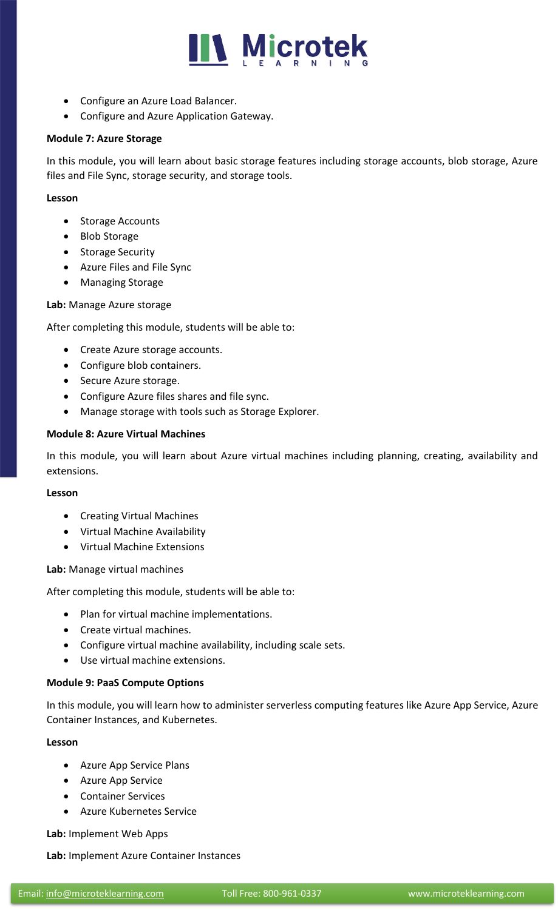

- Configure an Azure Load Balancer.
- Configure and Azure Application Gateway.

#### **Module 7: Azure Storage**

In this module, you will learn about basic storage features including storage accounts, blob storage, Azure files and File Sync, storage security, and storage tools.

#### **Lesson**

- Storage Accounts
- Blob Storage
- Storage Security
- Azure Files and File Sync
- Managing Storage

**Lab:** Manage Azure storage

After completing this module, students will be able to:

- Create Azure storage accounts.
- Configure blob containers.
- Secure Azure storage.
- Configure Azure files shares and file sync.
- Manage storage with tools such as Storage Explorer.

### **Module 8: Azure Virtual Machines**

In this module, you will learn about Azure virtual machines including planning, creating, availability and extensions.

#### **Lesson**

- Creating Virtual Machines
- Virtual Machine Availability
- Virtual Machine Extensions

**Lab:** Manage virtual machines

After completing this module, students will be able to:

- Plan for virtual machine implementations.
- Create virtual machines.
- Configure virtual machine availability, including scale sets.
- Use virtual machine extensions.

### **Module 9: PaaS Compute Options**

In this module, you will learn how to administer serverless computing features like Azure App Service, Azure Container Instances, and Kubernetes.

### **Lesson**

- Azure App Service Plans
- Azure App Service
- Container Services
- Azure Kubernetes Service

**Lab:** Implement Web Apps

**Lab:** Implement Azure Container Instances